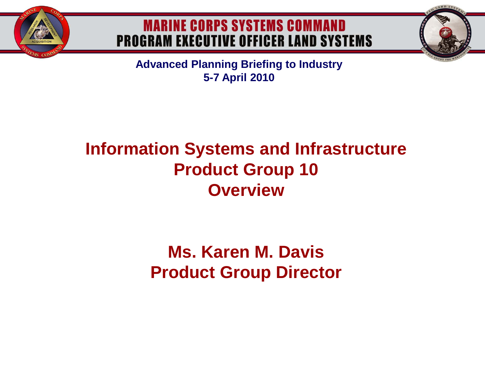

#### **MARINE CORPS SYSTEMS COMMAND PROGRAM EXECUTIVE OFFICER LAND SYSTEMS**

**Advanced Planning Briefing to Industry 5-7 April 2010**

## **Information Systems and Infrastructure Product Group 10 Overview**

### **Ms. Karen M. Davis Product Group Director**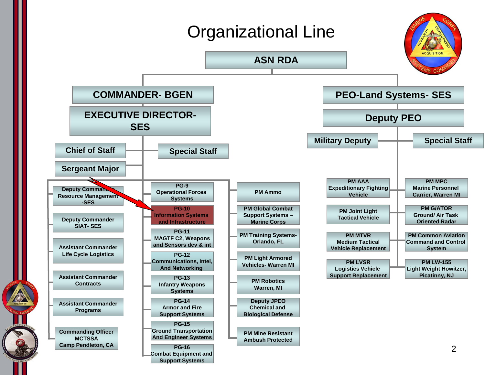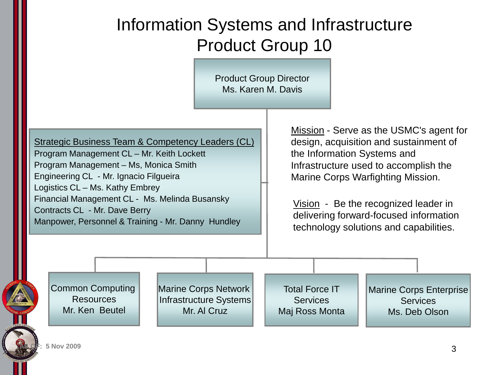### Information Systems and Infrastructure Product Group 10

Product Group Director Ms. Karen M. Davis

Strategic Business Team & Competency Leaders (CL) Program Management CL – Mr. Keith Lockett Program Management – Ms, Monica Smith Engineering CL - Mr. Ignacio Filgueira Logistics CL – Ms. Kathy Embrey Financial Management CL - Ms. Melinda Busansky Contracts CL - Mr. Dave Berry Manpower, Personnel & Training - Mr. Danny Hundley

Mission - Serve as the USMC's agent for design, acquisition and sustainment of the Information Systems and Infrastructure used to accomplish the Marine Corps Warfighting Mission.

Vision - Be the recognized leader in delivering forward-focused information technology solutions and capabilities.

Common Computing **Resources** Mr. Ken Beutel

Marine Corps Network Infrastructure Systems Mr. Al Cruz

Total Force IT **Services** Maj Ross Monta

Marine Corps Enterprise **Services** Ms. Deb Olson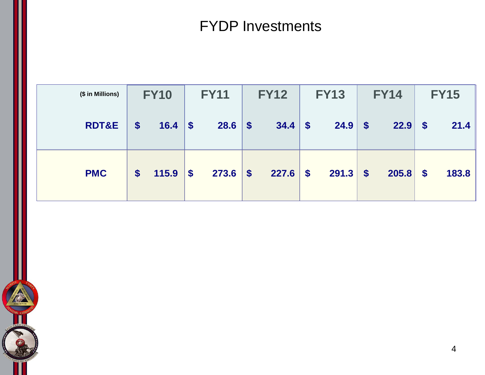#### FYDP Investments

| (\$ in Millions) | <b>FY10</b>       |            | <b>FY11</b> |            | <b>FY12</b> |            | <b>FY13</b> |       | <b>FY14</b> |       | <b>FY15</b>               |       |
|------------------|-------------------|------------|-------------|------------|-------------|------------|-------------|-------|-------------|-------|---------------------------|-------|
| <b>RDT&amp;E</b> | \$                | $16.4$ \\$ |             | $28.6$ \$  |             | $34.4$ \$  |             | 24.9  | $\sqrt$     | 22.9  | $\sqrt{3}$                | 21.4  |
| <b>PMC</b>       | $\boldsymbol{\$}$ | $115.9$ \$ |             | $273.6$ \$ |             | $227.6$ \$ |             | 291.3 | $\vert$ \$  | 205.8 | $\boldsymbol{\mathsf{s}}$ | 183.8 |

K,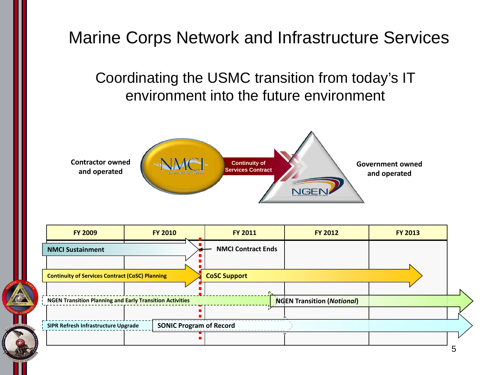# Marine Corps Network and Infrastructure Services Coordinating the USMC transition from today's IT environment into the future environment **Contractor owned Continuity of Government owned Services Contract and operated and operated** NGEN

|  | <b>FY 2009</b>                                         | <b>FY 2010</b>                 | <b>FY 2011</b>            | <b>FY 2012</b> | <b>FY 2013</b> |  |
|--|--------------------------------------------------------|--------------------------------|---------------------------|----------------|----------------|--|
|  | <b>NMCI Sustainment</b>                                |                                | <b>NMCI Contract Ends</b> |                |                |  |
|  |                                                        |                                |                           |                |                |  |
|  | <b>Continuity of Services Contract (CoSC) Planning</b> |                                |                           |                |                |  |
|  |                                                        |                                |                           |                |                |  |
|  |                                                        |                                |                           |                |                |  |
|  |                                                        |                                |                           |                |                |  |
|  | SIPR Refresh Infrastructure Upgrade                    | <b>SONIC Program of Record</b> |                           |                |                |  |
|  |                                                        |                                |                           |                |                |  |
|  |                                                        |                                |                           |                |                |  |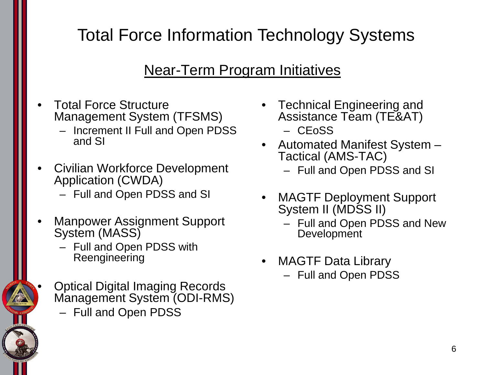# Total Force Information Technology Systems

#### Near-Term Program Initiatives

- Total Force Structure Management System (TFSMS)
	- Increment II Full and Open PDSS and SI
- Civilian Workforce Development Application (CWDA)
	- Full and Open PDSS and SI
- Manpower Assignment Support System (MASS)
	- Full and Open PDSS with Reengineering
	- Optical Digital Imaging Records Management System (ODI-RMS) – Full and Open PDSS
- Technical Engineering and Assistance Team (TE&AT) – CEoSS
- Automated Manifest System Tactical (AMS-TAC)
	- Full and Open PDSS and SI
- MAGTF Deployment Support System II (MDSS II)
	- Full and Open PDSS and New **Development**
- MAGTF Data Library
	- Full and Open PDSS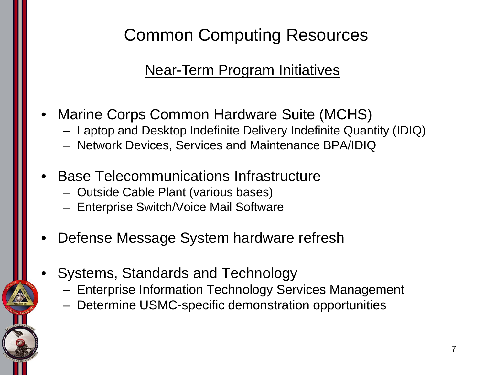## Common Computing Resources

#### Near-Term Program Initiatives

- Marine Corps Common Hardware Suite (MCHS)
	- Laptop and Desktop Indefinite Delivery Indefinite Quantity (IDIQ)
	- Network Devices, Services and Maintenance BPA/IDIQ
- Base Telecommunications Infrastructure
	- Outside Cable Plant (various bases)
	- Enterprise Switch/Voice Mail Software
- Defense Message System hardware refresh
- Systems, Standards and Technology
	- Enterprise Information Technology Services Management
	- Determine USMC-specific demonstration opportunities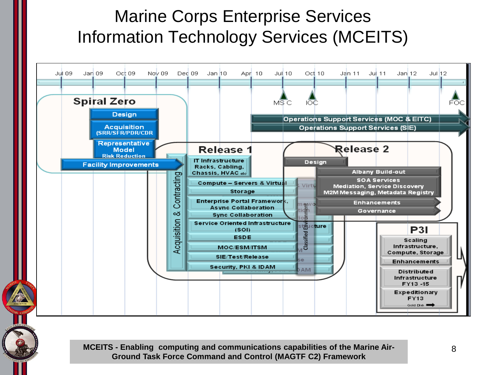### Marine Corps Enterprise Services Information Technology Services (MCEITS)



**MCEITS - Enabling computing and communications capabilities of the Marine Air-Ground Task Force Command and Control (MAGTF C2) Framework**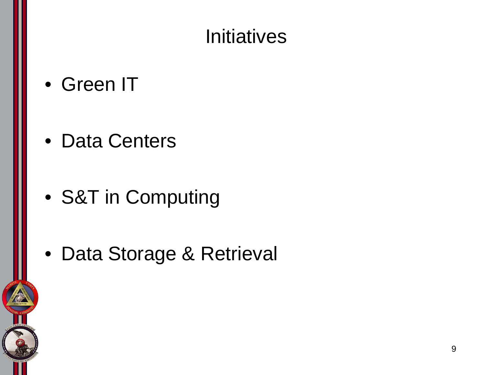# **Initiatives**

- Green IT
- Data Centers
- S&T in Computing
- Data Storage & Retrieval